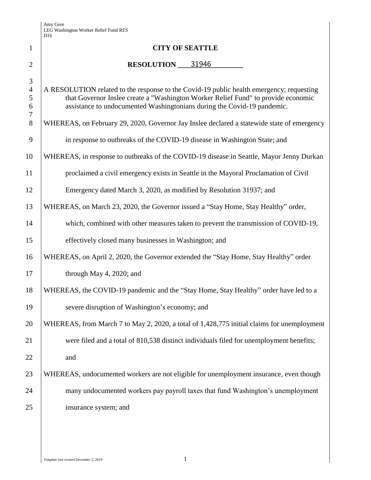Amy Gore LEG Washington Worker Relief Fund RES D1b

| $\mathbf{1}$                                        | <b>CITY OF SEATTLE</b>                                                                                                                                                                                                                                   |  |  |  |  |  |  |  |  |
|-----------------------------------------------------|----------------------------------------------------------------------------------------------------------------------------------------------------------------------------------------------------------------------------------------------------------|--|--|--|--|--|--|--|--|
| $\overline{2}$                                      | <b>RESOLUTION</b> 31946                                                                                                                                                                                                                                  |  |  |  |  |  |  |  |  |
| 3<br>$\overline{4}$<br>5<br>$6\,$<br>$\overline{7}$ | A RESOLUTION related to the response to the Covid-19 public health emergency; requesting<br>that Governor Inslee create a "Washington Worker Relief Fund" to provide economic<br>assistance to undocumented Washingtonians during the Covid-19 pandemic. |  |  |  |  |  |  |  |  |
| 8                                                   | WHEREAS, on February 29, 2020, Governor Jay Inslee declared a statewide state of emergency                                                                                                                                                               |  |  |  |  |  |  |  |  |
| 9                                                   | in response to outbreaks of the COVID-19 disease in Washington State; and                                                                                                                                                                                |  |  |  |  |  |  |  |  |
| 10                                                  | WHEREAS, in response to outbreaks of the COVID-19 disease in Seattle, Mayor Jenny Durkan                                                                                                                                                                 |  |  |  |  |  |  |  |  |
| 11                                                  | proclaimed a civil emergency exists in Seattle in the Mayoral Proclamation of Civil                                                                                                                                                                      |  |  |  |  |  |  |  |  |
| 12                                                  | Emergency dated March 3, 2020, as modified by Resolution 31937; and                                                                                                                                                                                      |  |  |  |  |  |  |  |  |
| 13                                                  | WHEREAS, on March 23, 2020, the Governor issued a "Stay Home, Stay Healthy" order,                                                                                                                                                                       |  |  |  |  |  |  |  |  |
| 14                                                  | which, combined with other measures taken to prevent the transmission of COVID-19,                                                                                                                                                                       |  |  |  |  |  |  |  |  |
| 15                                                  | effectively closed many businesses in Washington; and                                                                                                                                                                                                    |  |  |  |  |  |  |  |  |
| 16                                                  | WHEREAS, on April 2, 2020, the Governor extended the "Stay Home, Stay Healthy" order                                                                                                                                                                     |  |  |  |  |  |  |  |  |
| 17                                                  | through May 4, 2020; and                                                                                                                                                                                                                                 |  |  |  |  |  |  |  |  |
| 18                                                  | WHEREAS, the COVID-19 pandemic and the "Stay Home, Stay Healthy" order have led to a                                                                                                                                                                     |  |  |  |  |  |  |  |  |
| 19                                                  | severe disruption of Washington's economy; and                                                                                                                                                                                                           |  |  |  |  |  |  |  |  |
| 20                                                  | WHEREAS, from March 7 to May 2, 2020, a total of 1,428,775 initial claims for unemployment                                                                                                                                                               |  |  |  |  |  |  |  |  |
| 21                                                  | were filed and a total of 810,538 distinct individuals filed for unemployment benefits;                                                                                                                                                                  |  |  |  |  |  |  |  |  |
| 22                                                  | and                                                                                                                                                                                                                                                      |  |  |  |  |  |  |  |  |
| 23                                                  | WHEREAS, undocumented workers are not eligible for unemployment insurance, even though                                                                                                                                                                   |  |  |  |  |  |  |  |  |
| 24                                                  | many undocumented workers pay payroll taxes that fund Washington's unemployment                                                                                                                                                                          |  |  |  |  |  |  |  |  |
| 25                                                  | insurance system; and                                                                                                                                                                                                                                    |  |  |  |  |  |  |  |  |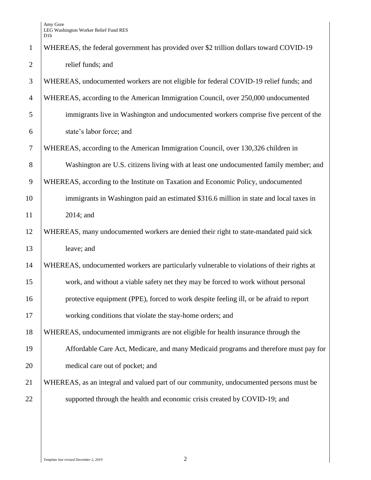| $\mathbf{1}$   | WHEREAS, the federal government has provided over \$2 trillion dollars toward COVID-19     |
|----------------|--------------------------------------------------------------------------------------------|
| $\overline{2}$ | relief funds; and                                                                          |
| 3              | WHEREAS, undocumented workers are not eligible for federal COVID-19 relief funds; and      |
| $\overline{4}$ | WHEREAS, according to the American Immigration Council, over 250,000 undocumented          |
| 5              | immigrants live in Washington and undocumented workers comprise five percent of the        |
| 6              | state's labor force; and                                                                   |
| $\overline{7}$ | WHEREAS, according to the American Immigration Council, over 130,326 children in           |
| $8\,$          | Washington are U.S. citizens living with at least one undocumented family member; and      |
| 9              | WHEREAS, according to the Institute on Taxation and Economic Policy, undocumented          |
| 10             | immigrants in Washington paid an estimated \$316.6 million in state and local taxes in     |
| 11             | 2014; and                                                                                  |
| 12             | WHEREAS, many undocumented workers are denied their right to state-mandated paid sick      |
| 13             | leave; and                                                                                 |
| 14             | WHEREAS, undocumented workers are particularly vulnerable to violations of their rights at |
| 15             | work, and without a viable safety net they may be forced to work without personal          |
| 16             | protective equipment (PPE), forced to work despite feeling ill, or be afraid to report     |
| 17             | working conditions that violate the stay-home orders; and                                  |
| 18             | WHEREAS, undocumented immigrants are not eligible for health insurance through the         |
| 19             | Affordable Care Act, Medicare, and many Medicaid programs and therefore must pay for       |
| 20             | medical care out of pocket; and                                                            |
| 21             | WHEREAS, as an integral and valued part of our community, undocumented persons must be     |
| 22             | supported through the health and economic crisis created by COVID-19; and                  |
|                |                                                                                            |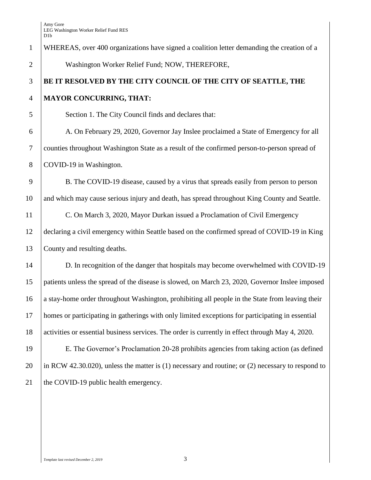| $\mathbf{1}$   | WHEREAS, over 400 organizations have signed a coalition letter demanding the creation of a            |
|----------------|-------------------------------------------------------------------------------------------------------|
| $\overline{2}$ | Washington Worker Relief Fund; NOW, THEREFORE,                                                        |
| 3              | BE IT RESOLVED BY THE CITY COUNCIL OF THE CITY OF SEATTLE, THE                                        |
| $\overline{4}$ | <b>MAYOR CONCURRING, THAT:</b>                                                                        |
| 5              | Section 1. The City Council finds and declares that:                                                  |
| 6              | A. On February 29, 2020, Governor Jay Inslee proclaimed a State of Emergency for all                  |
| $\overline{7}$ | counties throughout Washington State as a result of the confirmed person-to-person spread of          |
| $8\phantom{1}$ | COVID-19 in Washington.                                                                               |
| 9              | B. The COVID-19 disease, caused by a virus that spreads easily from person to person                  |
| 10             | and which may cause serious injury and death, has spread throughout King County and Seattle.          |
| 11             | C. On March 3, 2020, Mayor Durkan issued a Proclamation of Civil Emergency                            |
| 12             | declaring a civil emergency within Seattle based on the confirmed spread of COVID-19 in King          |
| 13             | County and resulting deaths.                                                                          |
| 14             | D. In recognition of the danger that hospitals may become overwhelmed with COVID-19                   |
| 15             | patients unless the spread of the disease is slowed, on March 23, 2020, Governor Inslee imposed       |
| 16             | a stay-home order throughout Washington, prohibiting all people in the State from leaving their       |
| 17             | homes or participating in gatherings with only limited exceptions for participating in essential      |
| 18             | activities or essential business services. The order is currently in effect through May 4, 2020.      |
| 19             | E. The Governor's Proclamation 20-28 prohibits agencies from taking action (as defined                |
| 20             | in RCW 42.30.020), unless the matter is $(1)$ necessary and routine; or $(2)$ necessary to respond to |
| 21             | the COVID-19 public health emergency.                                                                 |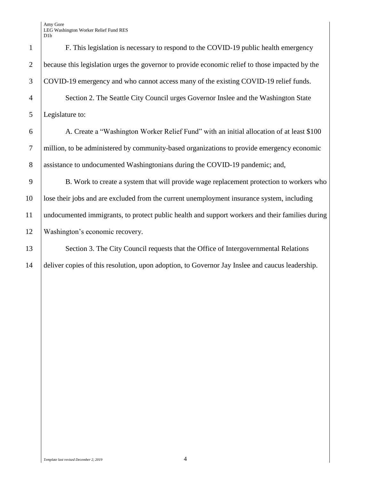Amy Gore LEG Washington Worker Relief Fund RES

|                          | D <sub>1</sub> b |
|--------------------------|------------------|
| I                        | F. Th            |
| $\overline{ }$           | because this     |
| ξ                        | COVID-19 6       |
| l                        | Secti            |
| 5                        | Legislature t    |
| 5                        | A.C              |
| 7                        | million, to b    |
| ξ                        | assistance to    |
| )                        | B.W              |
| $\overline{\mathcal{E}}$ | lose their job   |
| l                        | undocument       |
| $\overline{\phantom{a}}$ | Washington       |
| ξ                        | Secti            |
| l                        | deliver copie    |

his legislation is necessary to respond to the COVID-19 public health emergency 2 because this legislation urges the governor to provide economic relief to those impacted by the  $\alpha$ <sup>3</sup> emergency and who cannot access many of the existing COVID-19 relief funds. 4 Section 2. The Seattle City Council urges Governor Inslee and the Washington State 5 Legislature to: 6 A. Create a "Washington Worker Relief Fund" with an initial allocation of at least \$100 e administered by community-based organizations to provide emergency economic 8 assistance to undocumented Washingtonians during the COVID-19 pandemic; and, 9 B. Work to create a system that will provide wage replacement protection to workers who

10 lose their jobs and are excluded from the current unemployment insurance system, including 11 undocumented immigrants, to protect public health and support workers and their families during 12 Washington's economic recovery.

13 Section 3. The City Council requests that the Office of Intergovernmental Relations 14 deliver copies of this resolution, upon adoption, to Governor Jay Inslee and caucus leadership.